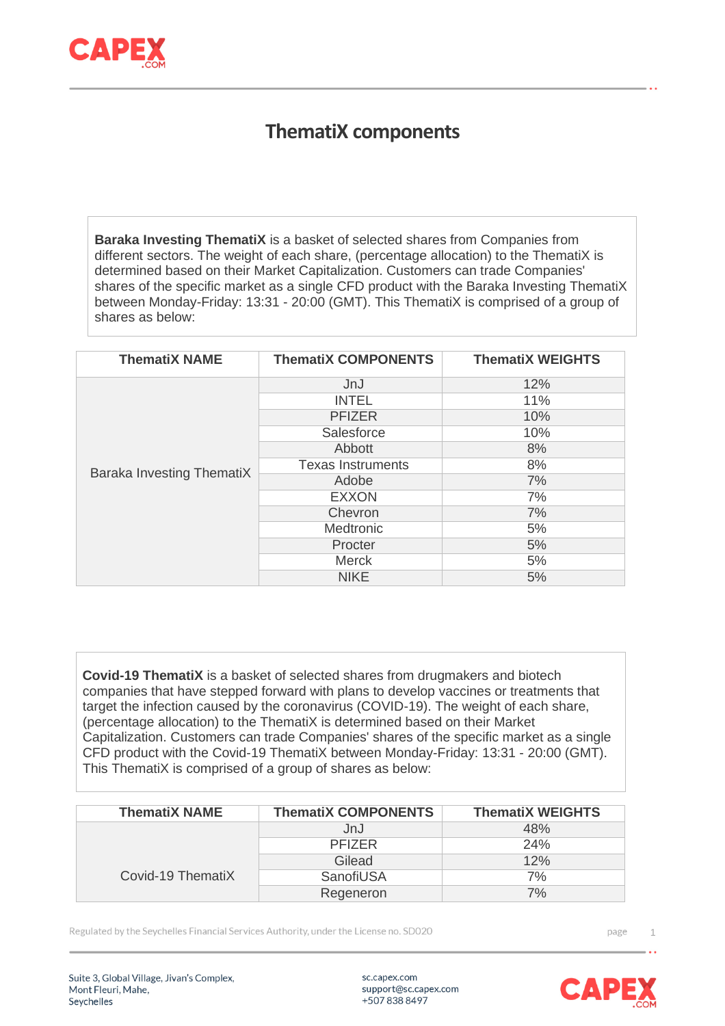

## **ThematiX components**

**Baraka Investing ThematiX** is a basket of selected shares from Companies from different sectors. The weight of each share, (percentage allocation) to the ThematiX is determined based on their Market Capitalization. Customers can trade Companies' shares of the specific market as a single CFD product with the Baraka Investing ThematiX between Monday-Friday: 13:31 - 20:00 (GMT). This ThematiX is comprised of a group of shares as below:

| <b>ThematiX NAME</b>             | <b>ThematiX COMPONENTS</b> | <b>ThematiX WEIGHTS</b> |
|----------------------------------|----------------------------|-------------------------|
|                                  | JnJ                        | 12%                     |
|                                  | <b>INTEL</b>               | 11%                     |
|                                  | <b>PFIZER</b>              | 10%                     |
|                                  | Salesforce                 | 10%                     |
|                                  | Abbott                     | 8%                      |
| <b>Baraka Investing ThematiX</b> | <b>Texas Instruments</b>   | 8%                      |
|                                  | Adobe                      | 7%                      |
|                                  | <b>EXXON</b>               | 7%                      |
|                                  | Chevron                    | 7%                      |
|                                  | <b>Medtronic</b>           | 5%                      |
|                                  | Procter                    | 5%                      |
|                                  | <b>Merck</b>               | 5%                      |
|                                  | <b>NIKE</b>                | 5%                      |

**Covid-19 ThematiX** is a basket of selected shares from drugmakers and biotech companies that have stepped forward with plans to develop vaccines or treatments that target the infection caused by the coronavirus (COVID-19). The weight of each share, (percentage allocation) to the ThematiX is determined based on their Market Capitalization. Customers can trade Companies' shares of the specific market as a single CFD product with the Covid-19 ThematiX between Monday-Friday: 13:31 - 20:00 (GMT). This ThematiX is comprised of a group of shares as below:

| <b>ThematiX NAME</b> | <b>ThematiX COMPONENTS</b> | <b>ThematiX WEIGHTS</b> |
|----------------------|----------------------------|-------------------------|
|                      | JnJ                        | 48%                     |
|                      | <b>PFIZER</b>              | 24%                     |
|                      | Gilead                     | 12%                     |
| Covid-19 ThematiX    | SanofiUSA                  | 7%                      |
|                      | Regeneron                  | 7%                      |

Regulated by the Seychelles Financial Services Authority, under the License no. SD020

page 1

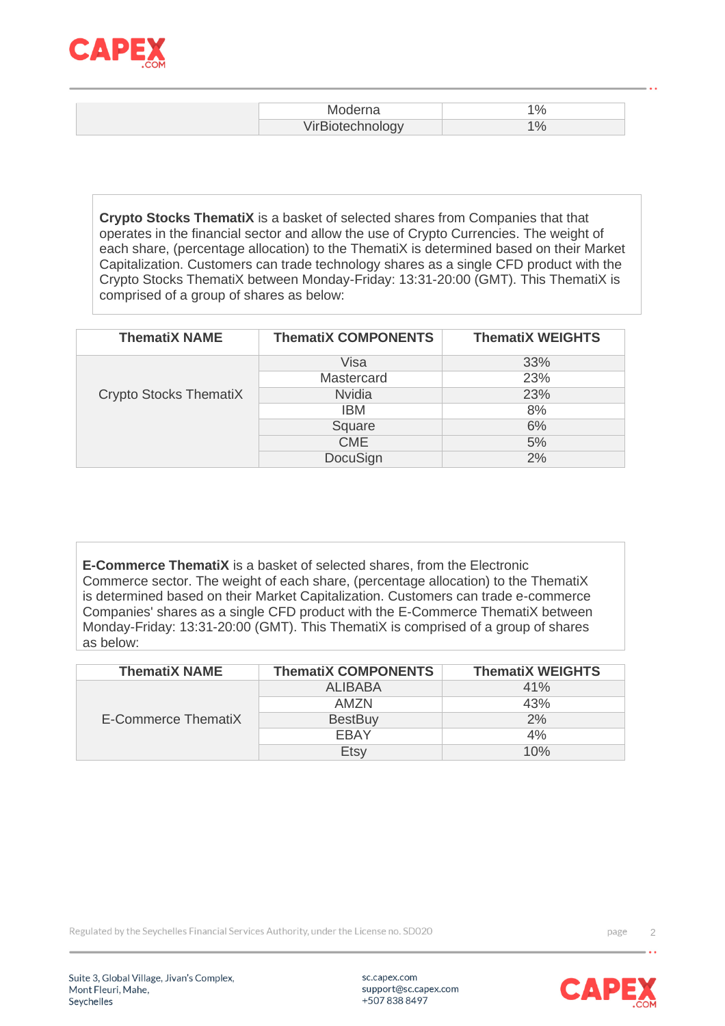

| Moderna<br>____             |  |
|-----------------------------|--|
| hnology.<br>_______________ |  |

**Crypto Stocks ThematiX** is a basket of selected shares from Companies that that operates in the financial sector and allow the use of Crypto Currencies. The weight of each share, (percentage allocation) to the ThematiX is determined based on their Market Capitalization. Customers can trade technology shares as a single CFD product with the Crypto Stocks ThematiX between Monday-Friday: 13:31-20:00 (GMT). This ThematiX is comprised of a group of shares as below:

| <b>ThematiX NAME</b>   | <b>ThematiX COMPONENTS</b> | <b>ThematiX WEIGHTS</b> |
|------------------------|----------------------------|-------------------------|
|                        | Visa                       | 33%                     |
|                        | Mastercard                 | 23%                     |
| Crypto Stocks ThematiX | <b>Nvidia</b>              | 23%                     |
|                        | IBM                        | 8%                      |
|                        | Square                     | 6%                      |
|                        | <b>CME</b>                 | 5%                      |
|                        | DocuSign                   | 2%                      |

**E-Commerce ThematiX** is a basket of selected shares, from the Electronic Commerce sector. The weight of each share, (percentage allocation) to the ThematiX is determined based on their Market Capitalization. Customers can trade e-commerce Companies' shares as a single CFD product with the E-Commerce ThematiX between Monday-Friday: 13:31-20:00 (GMT). This ThematiX is comprised of a group of shares as below:

| <b>ThematiX NAME</b> | <b>ThematiX COMPONENTS</b> | <b>ThematiX WEIGHTS</b> |
|----------------------|----------------------------|-------------------------|
| E-Commerce ThematiX  | <b>ALIBABA</b>             | 41%                     |
|                      | AMZN                       | 43%                     |
|                      | <b>BestBuy</b>             | 2%                      |
|                      | EBAY                       | 4%                      |
|                      | Etsy                       | 10%                     |

Regulated by the Seychelles Financial Services Authority, under the License no. SD020

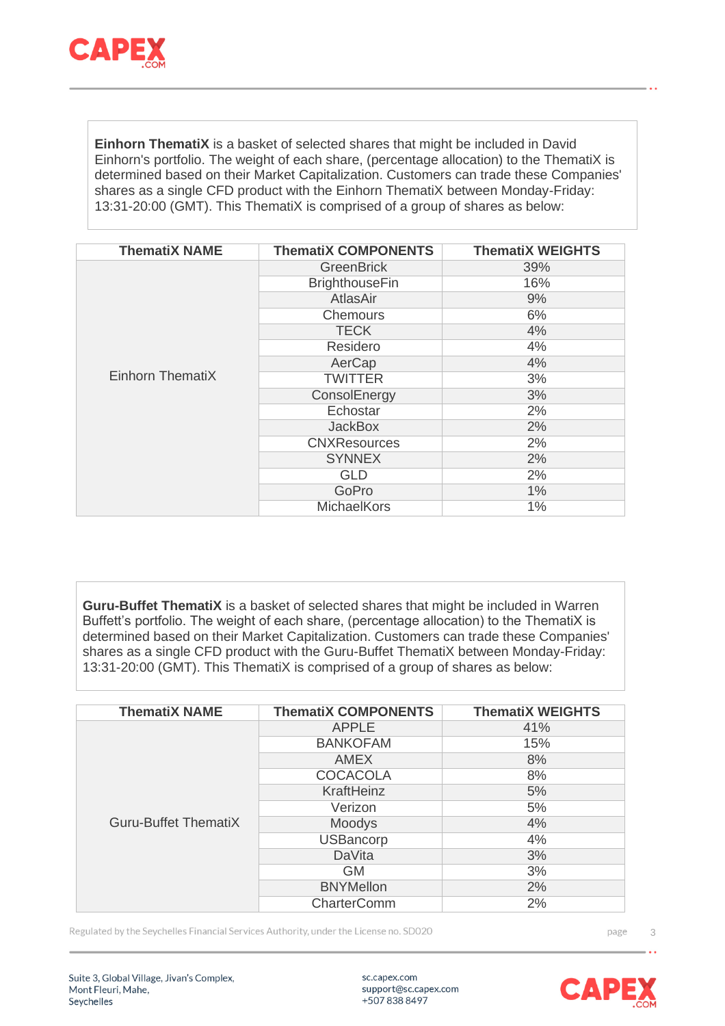

**Einhorn ThematiX** is a basket of selected shares that might be included in David Einhorn's portfolio. The weight of each share, (percentage allocation) to the ThematiX is determined based on their Market Capitalization. Customers can trade these Companies' shares as a single CFD product with the Einhorn ThematiX between Monday-Friday: 13:31-20:00 (GMT). This ThematiX is comprised of a group of shares as below:

| <b>ThematiX NAME</b> | <b>ThematiX COMPONENTS</b> | <b>ThematiX WEIGHTS</b> |
|----------------------|----------------------------|-------------------------|
|                      | <b>GreenBrick</b>          | 39%                     |
|                      | <b>BrighthouseFin</b>      | 16%                     |
|                      | AtlasAir                   | 9%                      |
|                      | <b>Chemours</b>            | 6%                      |
|                      | <b>TECK</b>                | 4%                      |
|                      | Residero                   | 4%                      |
|                      | AerCap                     | 4%                      |
| Einhorn ThematiX     | <b>TWITTER</b>             | 3%                      |
|                      | ConsolEnergy               | 3%                      |
|                      | Echostar                   | 2%                      |
|                      | <b>JackBox</b>             | 2%                      |
|                      | <b>CNXResources</b>        | 2%                      |
|                      | <b>SYNNEX</b>              | 2%                      |
|                      | <b>GLD</b>                 | 2%                      |
|                      | GoPro                      | $1\%$                   |
|                      | MichaelKors                | 1%                      |

**Guru-Buffet ThematiX** is a basket of selected shares that might be included in Warren Buffett's portfolio. The weight of each share, (percentage allocation) to the ThematiX is determined based on their Market Capitalization. Customers can trade these Companies' shares as a single CFD product with the Guru-Buffet ThematiX between Monday-Friday: 13:31-20:00 (GMT). This ThematiX is comprised of a group of shares as below:

| <b>ThematiX NAME</b>        | <b>ThematiX COMPONENTS</b> | <b>ThematiX WEIGHTS</b> |
|-----------------------------|----------------------------|-------------------------|
|                             | <b>APPLE</b>               | 41%                     |
|                             | <b>BANKOFAM</b>            | 15%                     |
|                             | AMEX                       | 8%                      |
|                             | <b>COCACOLA</b>            | 8%                      |
|                             | KraftHeinz                 | 5%                      |
|                             | Verizon                    | 5%                      |
| <b>Guru-Buffet ThematiX</b> | Moodys                     | 4%                      |
|                             | <b>USBancorp</b>           | 4%                      |
|                             | <b>DaVita</b>              | 3%                      |
|                             | <b>GM</b>                  | 3%                      |
|                             | <b>BNYMellon</b>           | 2%                      |
|                             | <b>CharterComm</b>         | 2%                      |

Regulated by the Seychelles Financial Services Authority, under the License no. SD020

page 3

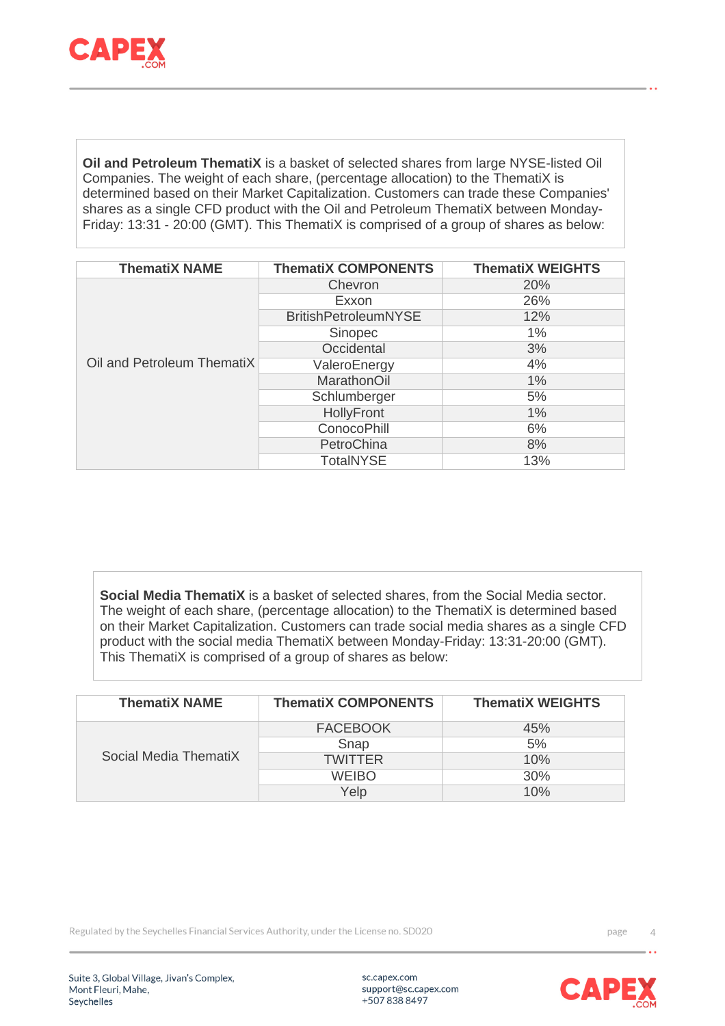

**Oil and Petroleum ThematiX** is a basket of selected shares from large NYSE-listed Oil Companies. The weight of each share, (percentage allocation) to the ThematiX is determined based on their Market Capitalization. Customers can trade these Companies' shares as a single CFD product with the Oil and Petroleum ThematiX between Monday-Friday: 13:31 - 20:00 (GMT). This ThematiX is comprised of a group of shares as below:

| <b>ThematiX NAME</b>       | <b>ThematiX COMPONENTS</b>  | <b>ThematiX WEIGHTS</b> |
|----------------------------|-----------------------------|-------------------------|
|                            | Chevron                     | 20%                     |
|                            | Exxon                       | 26%                     |
|                            | <b>BritishPetroleumNYSE</b> | 12%                     |
|                            | Sinopec                     | 1%                      |
|                            | Occidental                  | 3%                      |
| Oil and Petroleum ThematiX | ValeroEnergy                | 4%                      |
|                            | <b>MarathonOil</b>          | $1\%$                   |
|                            | Schlumberger                | 5%                      |
|                            | HollyFront                  | 1%                      |
|                            | <b>ConocoPhill</b>          | 6%                      |
|                            | PetroChina                  | 8%                      |
|                            | <b>TotalNYSE</b>            | 13%                     |

**Social Media ThematiX** is a basket of selected shares, from the Social Media sector. The weight of each share, (percentage allocation) to the ThematiX is determined based on their Market Capitalization. Customers can trade social media shares as a single CFD product with the social media ThematiX between Monday-Friday: 13:31-20:00 (GMT). This ThematiX is comprised of a group of shares as below:

| <b>ThematiX NAME</b>  | <b>ThematiX COMPONENTS</b> | <b>ThematiX WEIGHTS</b> |
|-----------------------|----------------------------|-------------------------|
|                       | <b>FACEBOOK</b>            | 45%                     |
| Social Media ThematiX | Snap                       | 5%                      |
|                       | <b>TWITTER</b>             | 10%                     |
|                       | <b>WEIBO</b>               | 30%                     |
|                       | Yelp                       | 10%                     |

Regulated by the Seychelles Financial Services Authority, under the License no. SD020

Suite 3, Global Village, Jivan's Complex, Mont Fleuri, Mahe, Seychelles

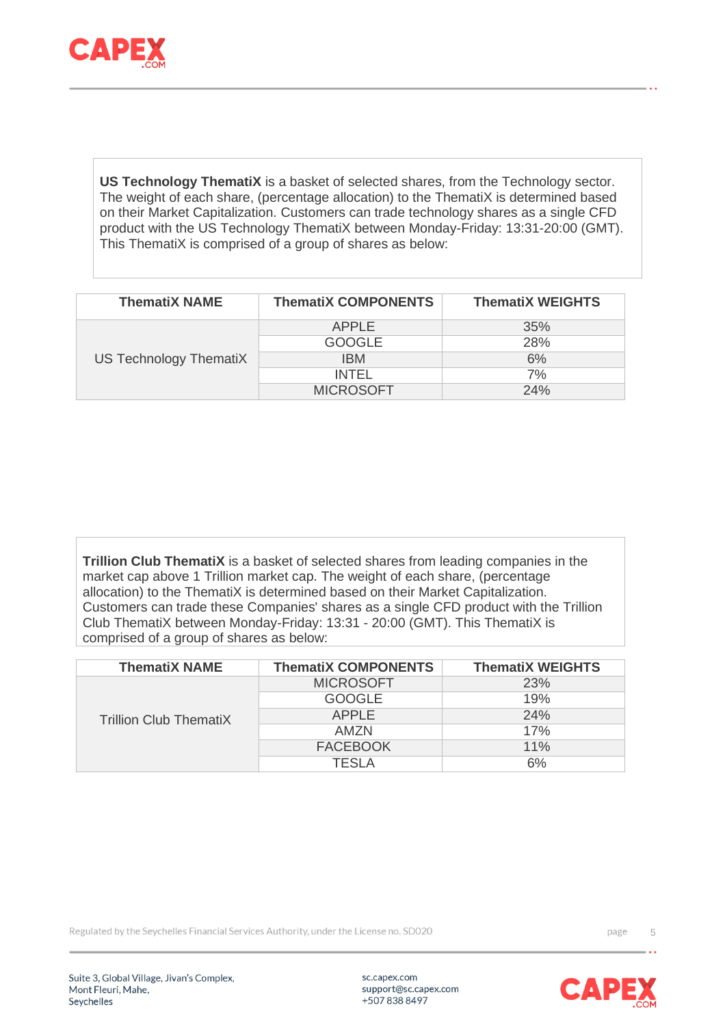

**US Technology ThematiX** is a basket of selected shares, from the Technology sector. The weight of each share, (percentage allocation) to the ThematiX is determined based on their Market Capitalization. Customers can trade technology shares as a single CFD product with the US Technology ThematiX between Monday-Friday: 13:31-20:00 (GMT). This ThematiX is comprised of a group of shares as below:

| <b>ThematiX NAME</b>   | <b>ThematiX COMPONENTS</b> | <b>ThematiX WEIGHTS</b> |
|------------------------|----------------------------|-------------------------|
| US Technology ThematiX | <b>APPLE</b>               | 35%                     |
|                        | <b>GOOGLE</b>              | 28%                     |
|                        | IBM.                       | 6%                      |
|                        | <b>INTEL</b>               | 7%                      |
|                        | <b>MICROSOFT</b>           | 24%                     |

**Trillion Club ThematiX** is a basket of selected shares from leading companies in the market cap above 1 Trillion market cap. The weight of each share, (percentage allocation) to the ThematiX is determined based on their Market Capitalization. Customers can trade these Companies' shares as a single CFD product with the Trillion Club ThematiX between Monday-Friday: 13:31 - 20:00 (GMT). This ThematiX is comprised of a group of shares as below:

| <b>ThematiX NAME</b>          | <b>ThematiX COMPONENTS</b> | <b>ThematiX WEIGHTS</b> |
|-------------------------------|----------------------------|-------------------------|
| <b>Trillion Club ThematiX</b> | <b>MICROSOFT</b>           | 23%                     |
|                               | <b>GOOGLE</b>              | 19%                     |
|                               | <b>APPLE</b>               | 24%                     |
|                               | AMZN                       | 17%                     |
|                               | <b>FACEBOOK</b>            | 11%                     |
|                               | TFSI A                     | 6%                      |

Regulated by the Seychelles Financial Services Authority, under the License no. SD020

Suite 3, Global Village, Jivan's Complex, Mont Fleuri, Mahe, Seychelles

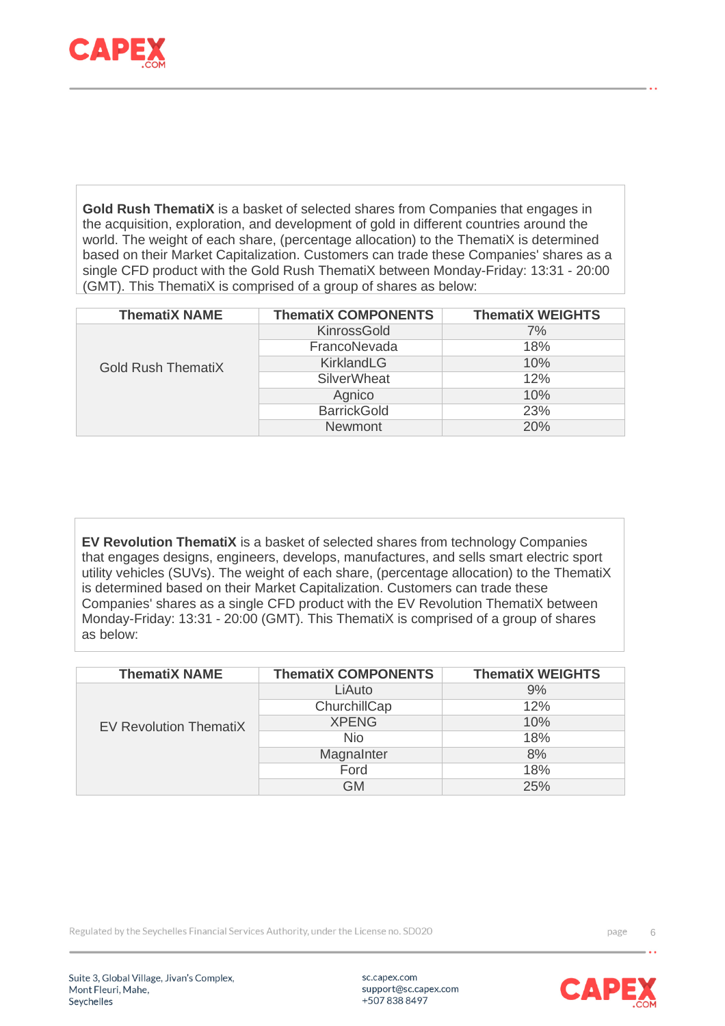

**Gold Rush ThematiX** is a basket of selected shares from Companies that engages in the acquisition, exploration, and development of gold in different countries around the world. The weight of each share, (percentage allocation) to the ThematiX is determined based on their Market Capitalization. Customers can trade these Companies' shares as a single CFD product with the Gold Rush ThematiX between Monday-Friday: 13:31 - 20:00 (GMT). This ThematiX is comprised of a group of shares as below:

| <b>ThematiX NAME</b>      | <b>ThematiX COMPONENTS</b> | <b>ThematiX WEIGHTS</b> |
|---------------------------|----------------------------|-------------------------|
| <b>Gold Rush ThematiX</b> | KinrossGold                | 7%                      |
|                           | FrancoNevada               | 18%                     |
|                           | KirklandLG                 | 10%                     |
|                           | <b>SilverWheat</b>         | 12%                     |
|                           | Agnico                     | 10%                     |
|                           | <b>BarrickGold</b>         | 23%                     |
|                           | <b>Newmont</b>             | 20%                     |

**EV Revolution ThematiX** is a basket of selected shares from technology Companies that engages designs, engineers, develops, manufactures, and sells smart electric sport utility vehicles (SUVs). The weight of each share, (percentage allocation) to the ThematiX is determined based on their Market Capitalization. Customers can trade these Companies' shares as a single CFD product with the EV Revolution ThematiX between Monday-Friday: 13:31 - 20:00 (GMT). This ThematiX is comprised of a group of shares as below:

| <b>ThematiX NAME</b>          | <b>ThematiX COMPONENTS</b> | <b>ThematiX WEIGHTS</b> |
|-------------------------------|----------------------------|-------------------------|
| <b>EV Revolution ThematiX</b> | LiAuto                     | 9%                      |
|                               | ChurchillCap               | 12%                     |
|                               | <b>XPENG</b>               | 10%                     |
|                               | <b>Nio</b>                 | 18%                     |
|                               | MagnaInter                 | 8%                      |
|                               | Ford                       | 18%                     |
|                               | <b>GM</b>                  | 25%                     |

Regulated by the Seychelles Financial Services Authority, under the License no. SD020

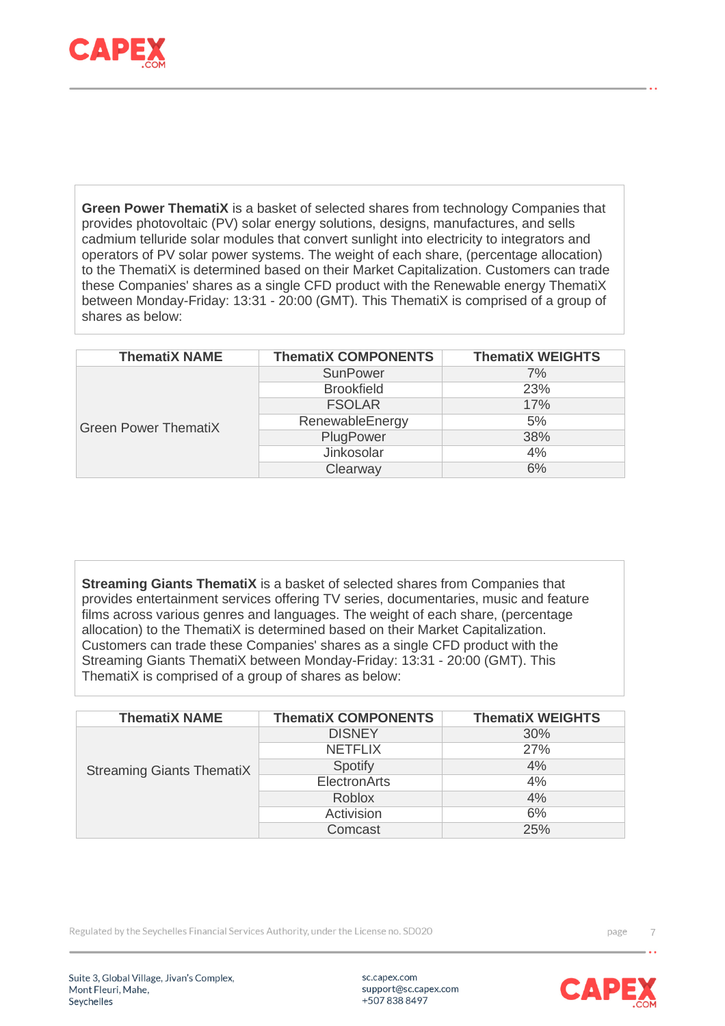

**Green Power ThematiX** is a basket of selected shares from technology Companies that provides photovoltaic (PV) solar energy solutions, designs, manufactures, and sells cadmium telluride solar modules that convert sunlight into electricity to integrators and operators of PV solar power systems. The weight of each share, (percentage allocation) to the ThematiX is determined based on their Market Capitalization. Customers can trade these Companies' shares as a single CFD product with the Renewable energy ThematiX between Monday-Friday: 13:31 - 20:00 (GMT). This ThematiX is comprised of a group of shares as below:

| <b>ThematiX NAME</b>        | <b>ThematiX COMPONENTS</b> | <b>ThematiX WEIGHTS</b> |
|-----------------------------|----------------------------|-------------------------|
| <b>Green Power ThematiX</b> | <b>SunPower</b>            | 7%                      |
|                             | <b>Brookfield</b>          | 23%                     |
|                             | <b>FSOLAR</b>              | 17%                     |
|                             | RenewableEnergy            | 5%                      |
|                             | PlugPower                  | 38%                     |
|                             | Jinkosolar                 | 4%                      |
|                             | Clearway                   | 6%                      |

**Streaming Giants ThematiX** is a basket of selected shares from Companies that provides entertainment services offering TV series, documentaries, music and feature films across various genres and languages. The weight of each share, (percentage allocation) to the ThematiX is determined based on their Market Capitalization. Customers can trade these Companies' shares as a single CFD product with the Streaming Giants ThematiX between Monday-Friday: 13:31 - 20:00 (GMT). This ThematiX is comprised of a group of shares as below:

| <b>ThematiX NAME</b>             | <b>ThematiX COMPONENTS</b> | <b>ThematiX WEIGHTS</b> |
|----------------------------------|----------------------------|-------------------------|
| <b>Streaming Giants ThematiX</b> | <b>DISNEY</b>              | 30%                     |
|                                  | <b>NETFLIX</b>             | <b>27%</b>              |
|                                  | Spotify                    | 4%                      |
|                                  | ElectronArts               | 4%                      |
|                                  | <b>Roblox</b>              | 4%                      |
|                                  | Activision                 | 6%                      |
|                                  | Comcast                    | 25%                     |

Regulated by the Seychelles Financial Services Authority, under the License no. SD020



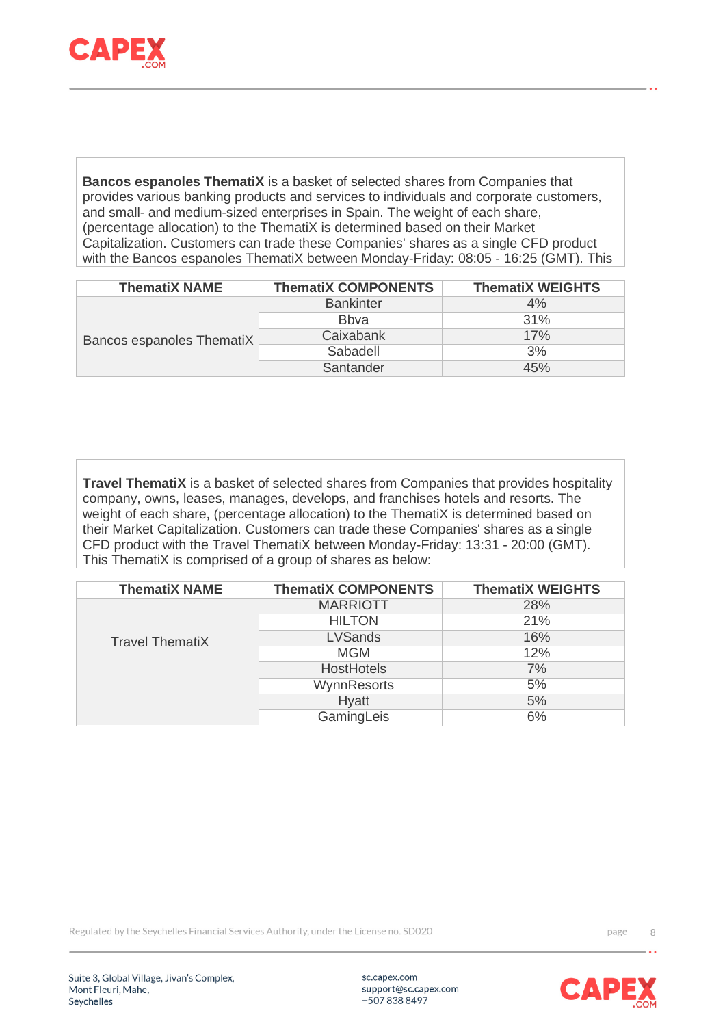

**Bancos espanoles ThematiX** is a basket of selected shares from Companies that provides various banking products and services to individuals and corporate customers, and small- and medium-sized enterprises in Spain. The weight of each share, (percentage allocation) to the ThematiX is determined based on their Market Capitalization. Customers can trade these Companies' shares as a single CFD product with the Bancos espanoles ThematiX between Monday-Friday: 08:05 - 16:25 (GMT). This

| <b>ThematiX NAME</b>      | <b>ThematiX COMPONENTS</b> | <b>ThematiX WEIGHTS</b> |
|---------------------------|----------------------------|-------------------------|
| Bancos espanoles ThematiX | <b>Bankinter</b>           | 4%                      |
|                           | <b>B</b> bva               | 31%                     |
|                           | Caixabank                  | 17%                     |
|                           | Sabadell                   | 3%                      |
|                           | Santander                  | 45%                     |

**Travel ThematiX** is a basket of selected shares from Companies that provides hospitality company, owns, leases, manages, develops, and franchises hotels and resorts. The weight of each share, (percentage allocation) to the ThematiX is determined based on their Market Capitalization. Customers can trade these Companies' shares as a single CFD product with the Travel ThematiX between Monday-Friday: 13:31 - 20:00 (GMT). This ThematiX is comprised of a group of shares as below:

| <b>ThematiX NAME</b>   | <b>ThematiX COMPONENTS</b> | <b>ThematiX WEIGHTS</b> |
|------------------------|----------------------------|-------------------------|
|                        | <b>MARRIOTT</b>            | 28%                     |
|                        | <b>HILTON</b>              | 21%                     |
| <b>Travel ThematiX</b> | <b>LVSands</b>             | 16%                     |
|                        | <b>MGM</b>                 | 12%                     |
|                        | <b>HostHotels</b>          | 7%                      |
|                        | WynnResorts                | 5%                      |
|                        | <b>Hyatt</b>               | 5%                      |
|                        | GamingLeis                 | 6%                      |

Regulated by the Seychelles Financial Services Authority, under the License no. SD020

Suite 3, Global Village, Jivan's Complex, Mont Fleuri, Mahe, Seychelles

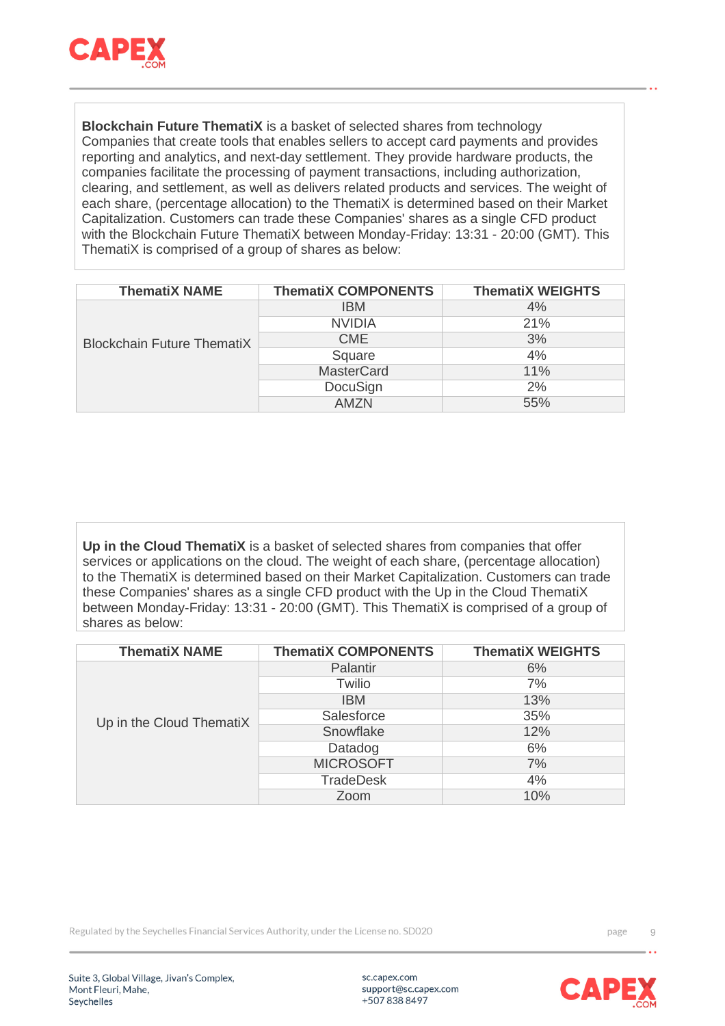

**Blockchain Future ThematiX** is a basket of selected shares from technology Companies that create tools that enables sellers to accept card payments and provides reporting and analytics, and next-day settlement. They provide hardware products, the companies facilitate the processing of payment transactions, including authorization, clearing, and settlement, as well as delivers related products and services. The weight of each share, (percentage allocation) to the ThematiX is determined based on their Market Capitalization. Customers can trade these Companies' shares as a single CFD product with the Blockchain Future ThematiX between Monday-Friday: 13:31 - 20:00 (GMT). This ThematiX is comprised of a group of shares as below:

| <b>ThematiX NAME</b>              | <b>ThematiX COMPONENTS</b> | <b>ThematiX WEIGHTS</b> |
|-----------------------------------|----------------------------|-------------------------|
| <b>Blockchain Future ThematiX</b> | <b>IBM</b>                 | 4%                      |
|                                   | <b>NVIDIA</b>              | 21%                     |
|                                   | <b>CME</b>                 | 3%                      |
|                                   | Square                     | 4%                      |
|                                   | <b>MasterCard</b>          | 11%                     |
|                                   | DocuSign                   | 2%                      |
|                                   | AM7N                       | 55%                     |

**Up in the Cloud ThematiX** is a basket of selected shares from companies that offer services or applications on the cloud. The weight of each share, (percentage allocation) to the ThematiX is determined based on their Market Capitalization. Customers can trade these Companies' shares as a single CFD product with the Up in the Cloud ThematiX between Monday-Friday: 13:31 - 20:00 (GMT). This ThematiX is comprised of a group of shares as below:

| <b>ThematiX NAME</b>     | <b>ThematiX COMPONENTS</b> | <b>ThematiX WEIGHTS</b> |
|--------------------------|----------------------------|-------------------------|
| Up in the Cloud ThematiX | Palantir                   | 6%                      |
|                          | Twilio                     | 7%                      |
|                          | <b>IBM</b>                 | 13%                     |
|                          | Salesforce                 | 35%                     |
|                          | Snowflake                  | 12%                     |
|                          | Datadog                    | 6%                      |
|                          | <b>MICROSOFT</b>           | 7%                      |
|                          | <b>TradeDesk</b>           | 4%                      |
|                          | Zoom                       | 10%                     |

Regulated by the Seychelles Financial Services Authority, under the License no. SD020

Suite 3, Global Village, Jivan's Complex, Mont Fleuri, Mahe, Seychelles

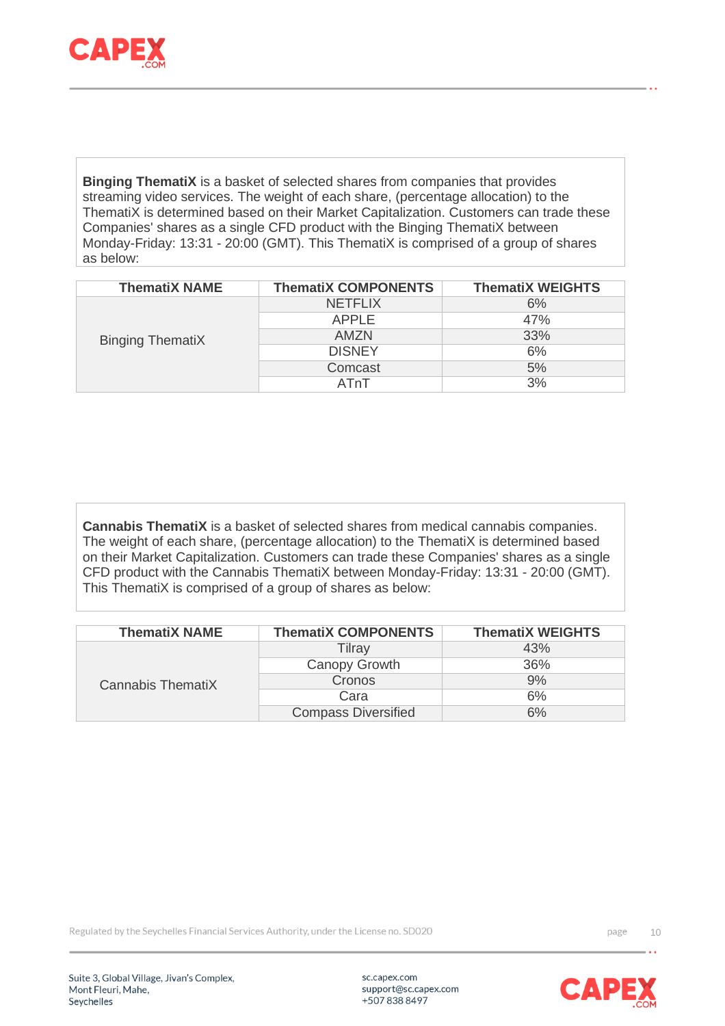

**Binging ThematiX** is a basket of selected shares from companies that provides streaming video services. The weight of each share, (percentage allocation) to the ThematiX is determined based on their Market Capitalization. Customers can trade these Companies' shares as a single CFD product with the Binging ThematiX between Monday-Friday: 13:31 - 20:00 (GMT). This ThematiX is comprised of a group of shares as below:

| <b>ThematiX NAME</b>    | <b>ThematiX COMPONENTS</b> | <b>ThematiX WEIGHTS</b> |
|-------------------------|----------------------------|-------------------------|
| <b>Binging ThematiX</b> | <b>NETFLIX</b>             | 6%                      |
|                         | <b>APPLE</b>               | 47%                     |
|                         | AMZN                       | 33%                     |
|                         | <b>DISNEY</b>              | 6%                      |
|                         | Comcast                    | 5%                      |
|                         | ATnT                       | 3%                      |

**Cannabis ThematiX** is a basket of selected shares from medical cannabis companies. The weight of each share, (percentage allocation) to the ThematiX is determined based on their Market Capitalization. Customers can trade these Companies' shares as a single CFD product with the Cannabis ThematiX between Monday-Friday: 13:31 - 20:00 (GMT). This ThematiX is comprised of a group of shares as below:

| <b>ThematiX NAME</b> | <b>ThematiX COMPONENTS</b> | <b>ThematiX WEIGHTS</b> |
|----------------------|----------------------------|-------------------------|
| Cannabis ThematiX    | Tilray                     | 43%                     |
|                      | Canopy Growth              | 36%                     |
|                      | Cronos                     | 9%                      |
|                      | Cara                       | 6%                      |
|                      | <b>Compass Diversified</b> | 6%                      |

Regulated by the Seychelles Financial Services Authority, under the License no. SD020